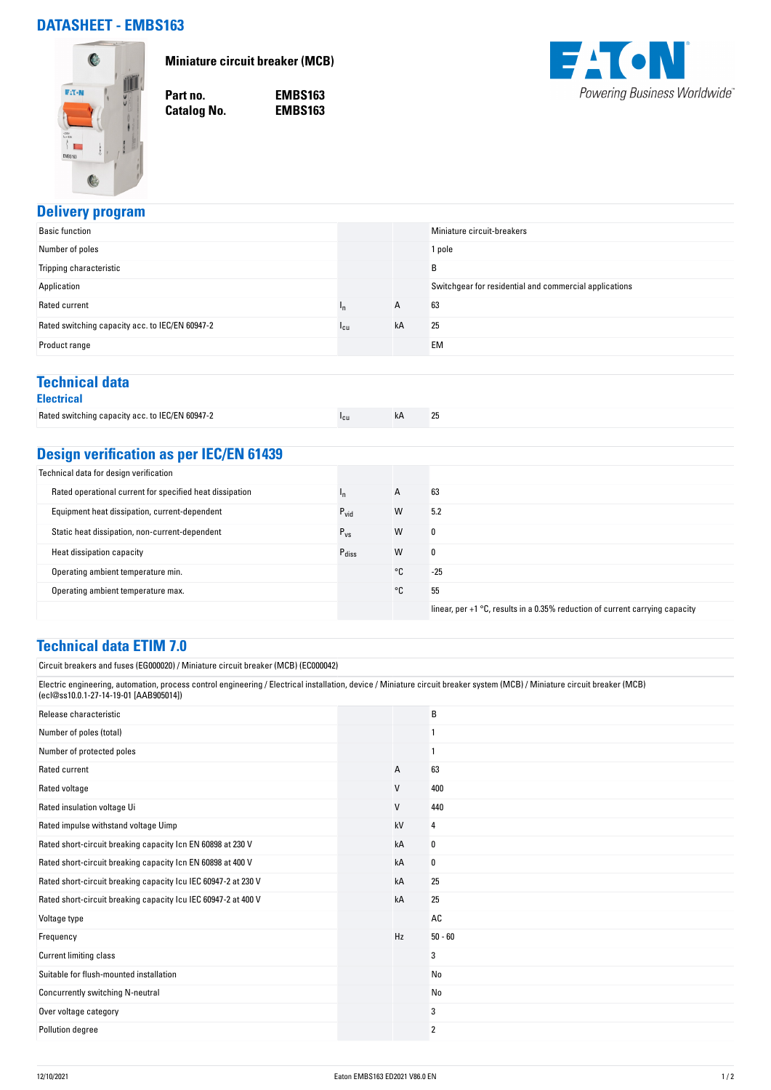## **DATASHEET - EMBS163**



**Miniature circuit breaker (MCB)**

**Catalog No.** 

**Part no. EMBS163**



#### **Delivery program**

| <b>Basic function</b>                           |                 |    | Miniature circuit-breakers                             |
|-------------------------------------------------|-----------------|----|--------------------------------------------------------|
| Number of poles                                 |                 |    | 1 pole                                                 |
| Tripping characteristic                         |                 |    | B                                                      |
| Application                                     |                 |    | Switchgear for residential and commercial applications |
| Rated current                                   | In              | A  | 63                                                     |
| Rated switching capacity acc. to IEC/EN 60947-2 | <sup>1</sup> cu | kA | 25                                                     |
| Product range                                   |                 |    | <b>EM</b>                                              |
|                                                 |                 |    |                                                        |

## **Technical data**

|--|

| Rated switching capacity acc. to IEC/EN 60947-2 | "cu | 25 |
|-------------------------------------------------|-----|----|
|                                                 |     |    |

# **Design verification as per IEC/EN 61439**

| Technical data for design verification                   |                   |    |                                                                                |
|----------------------------------------------------------|-------------------|----|--------------------------------------------------------------------------------|
| Rated operational current for specified heat dissipation | 'n                | A  | 63                                                                             |
| Equipment heat dissipation, current-dependent            | $P_{\text{vid}}$  | W  | 5.2                                                                            |
| Static heat dissipation, non-current-dependent           | $P_{VS}$          | W  | 0                                                                              |
| Heat dissipation capacity                                | $P_{\text{diss}}$ | W  | 0                                                                              |
| Operating ambient temperature min.                       |                   | °C | $-25$                                                                          |
| Operating ambient temperature max.                       |                   | °C | 55                                                                             |
|                                                          |                   |    | linear, per $+1$ °C, results in a 0.35% reduction of current carrying capacity |

#### **Technical data ETIM 7.0**

Circuit breakers and fuses (EG000020) / Miniature circuit breaker (MCB) (EC000042)

Electric engineering, automation, process control engineering / Electrical installation, device / Miniature circuit breaker system (MCB) / Miniature circuit breaker (MCB) (ecl@ss10.0.1-27-14-19-01 [AAB905014])

| Release characteristic                                         |              | B         |
|----------------------------------------------------------------|--------------|-----------|
| Number of poles (total)                                        |              |           |
| Number of protected poles                                      |              |           |
| Rated current                                                  | А            | 63        |
| Rated voltage                                                  | $\mathsf{V}$ | 400       |
| Rated insulation voltage Ui                                    | V            | 440       |
| Rated impulse withstand voltage Uimp                           | kV           | 4         |
| Rated short-circuit breaking capacity Icn EN 60898 at 230 V    | kA           | 0         |
| Rated short-circuit breaking capacity Icn EN 60898 at 400 V    | kA           | 0         |
| Rated short-circuit breaking capacity Icu IEC 60947-2 at 230 V | kA           | 25        |
| Rated short-circuit breaking capacity Icu IEC 60947-2 at 400 V | kA           | 25        |
| Voltage type                                                   |              | AC        |
| Frequency                                                      | Hz           | $50 - 60$ |
| Current limiting class                                         |              | 3         |
| Suitable for flush-mounted installation                        |              | No        |
| Concurrently switching N-neutral                               |              | No        |
| Over voltage category                                          |              | 3         |
| Pollution degree                                               |              | 2         |